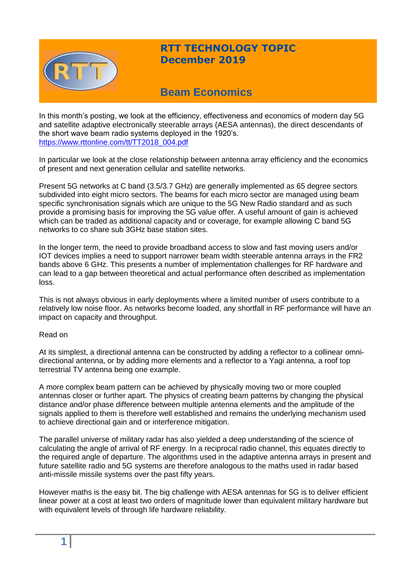

## **RTT TECHNOLOGY TOPIC December 2019**

# **Beam Economics**

In this month's posting, we look at the efficiency, effectiveness and economics of modern day 5G and satellite adaptive electronically steerable arrays (AESA antennas), the direct descendants of the short wave beam radio systems deployed in the 1920's. [https://www.rttonline.com/tt/TT2018\\_004.pdf](https://www.rttonline.com/tt/TT2018_004.pdf)

In particular we look at the close relationship between antenna array efficiency and the economics of present and next generation cellular and satellite networks.

Present 5G networks at C band (3.5/3.7 GHz) are generally implemented as 65 degree sectors subdivided into eight micro sectors. The beams for each micro sector are managed using beam specific synchronisation signals which are unique to the 5G New Radio standard and as such provide a promising basis for improving the 5G value offer. A useful amount of gain is achieved which can be traded as additional capacity and or coverage, for example allowing C band 5G networks to co share sub 3GHz base station sites.

In the longer term, the need to provide broadband access to slow and fast moving users and/or IOT devices implies a need to support narrower beam width steerable antenna arrays in the FR2 bands above 6 GHz. This presents a number of implementation challenges for RF hardware and can lead to a gap between theoretical and actual performance often described as implementation loss.

This is not always obvious in early deployments where a limited number of users contribute to a relatively low noise floor. As networks become loaded, any shortfall in RF performance will have an impact on capacity and throughput.

#### Read on

At its simplest, a directional antenna can be constructed by adding a reflector to a collinear omnidirectional antenna, or by adding more elements and a reflector to a Yagi antenna, a roof top terrestrial TV antenna being one example.

A more complex beam pattern can be achieved by physically moving two or more coupled antennas closer or further apart. The physics of creating beam patterns by changing the physical distance and/or phase difference between multiple antenna elements and the amplitude of the signals applied to them is therefore well established and remains the underlying mechanism used to achieve directional gain and or interference mitigation.

The parallel universe of military radar has also yielded a deep understanding of the science of calculating the angle of arrival of RF energy. In a reciprocal radio channel, this equates directly to the required angle of departure. The algorithms used in the adaptive antenna arrays in present and future satellite radio and 5G systems are therefore analogous to the maths used in radar based anti-missile missile systems over the past fifty years.

However maths is the easy bit. The big challenge with AESA antennas for 5G is to deliver efficient linear power at a cost at least two orders of magnitude lower than equivalent military hardware but with equivalent levels of through life hardware reliability.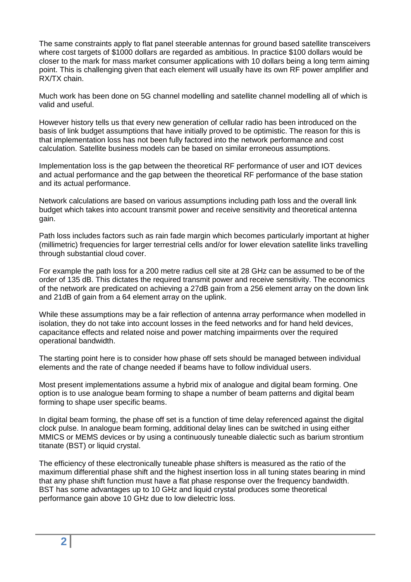The same constraints apply to flat panel steerable antennas for ground based satellite transceivers where cost targets of \$1000 dollars are regarded as ambitious. In practice \$100 dollars would be closer to the mark for mass market consumer applications with 10 dollars being a long term aiming point. This is challenging given that each element will usually have its own RF power amplifier and RX/TX chain.

Much work has been done on 5G channel modelling and satellite channel modelling all of which is valid and useful.

However history tells us that every new generation of cellular radio has been introduced on the basis of link budget assumptions that have initially proved to be optimistic. The reason for this is that implementation loss has not been fully factored into the network performance and cost calculation. Satellite business models can be based on similar erroneous assumptions.

Implementation loss is the gap between the theoretical RF performance of user and IOT devices and actual performance and the gap between the theoretical RF performance of the base station and its actual performance.

Network calculations are based on various assumptions including path loss and the overall link budget which takes into account transmit power and receive sensitivity and theoretical antenna gain.

Path loss includes factors such as rain fade margin which becomes particularly important at higher (millimetric) frequencies for larger terrestrial cells and/or for lower elevation satellite links travelling through substantial cloud cover.

For example the path loss for a 200 metre radius cell site at 28 GHz can be assumed to be of the order of 135 dB. This dictates the required transmit power and receive sensitivity. The economics of the network are predicated on achieving a 27dB gain from a 256 element array on the down link and 21dB of gain from a 64 element array on the uplink.

While these assumptions may be a fair reflection of antenna array performance when modelled in isolation, they do not take into account losses in the feed networks and for hand held devices, capacitance effects and related noise and power matching impairments over the required operational bandwidth.

The starting point here is to consider how phase off sets should be managed between individual elements and the rate of change needed if beams have to follow individual users.

Most present implementations assume a hybrid mix of analogue and digital beam forming. One option is to use analogue beam forming to shape a number of beam patterns and digital beam forming to shape user specific beams.

In digital beam forming, the phase off set is a function of time delay referenced against the digital clock pulse. In analogue beam forming, additional delay lines can be switched in using either MMICS or MEMS devices or by using a continuously tuneable dialectic such as barium strontium titanate (BST) or liquid crystal.

The efficiency of these electronically tuneable phase shifters is measured as the ratio of the maximum differential phase shift and the highest insertion loss in all tuning states bearing in mind that any phase shift function must have a flat phase response over the frequency bandwidth. BST has some advantages up to 10 GHz and liquid crystal produces some theoretical performance gain above 10 GHz due to low dielectric loss.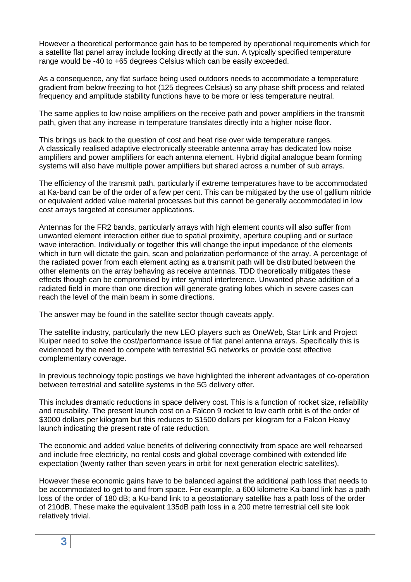However a theoretical performance gain has to be tempered by operational requirements which for a satellite flat panel array include looking directly at the sun. A typically specified temperature range would be -40 to +65 degrees Celsius which can be easily exceeded.

As a consequence, any flat surface being used outdoors needs to accommodate a temperature gradient from below freezing to hot (125 degrees Celsius) so any phase shift process and related frequency and amplitude stability functions have to be more or less temperature neutral.

The same applies to low noise amplifiers on the receive path and power amplifiers in the transmit path, given that any increase in temperature translates directly into a higher noise floor.

This brings us back to the question of cost and heat rise over wide temperature ranges. A classically realised adaptive electronically steerable antenna array has dedicated low noise amplifiers and power amplifiers for each antenna element. Hybrid digital analogue beam forming systems will also have multiple power amplifiers but shared across a number of sub arrays.

The efficiency of the transmit path, particularly if extreme temperatures have to be accommodated at Ka-band can be of the order of a few per cent. This can be mitigated by the use of gallium nitride or equivalent added value material processes but this cannot be generally accommodated in low cost arrays targeted at consumer applications.

Antennas for the FR2 bands, particularly arrays with high element counts will also suffer from unwanted element interaction either due to spatial proximity, aperture coupling and or surface wave interaction. Individually or together this will change the input impedance of the elements which in turn will dictate the gain, scan and polarization performance of the array. A percentage of the radiated power from each element acting as a transmit path will be distributed between the other elements on the array behaving as receive antennas. TDD theoretically mitigates these effects though can be compromised by inter symbol interference. Unwanted phase addition of a radiated field in more than one direction will generate grating lobes which in severe cases can reach the level of the main beam in some directions.

The answer may be found in the satellite sector though caveats apply.

The satellite industry, particularly the new LEO players such as OneWeb, Star Link and Project Kuiper need to solve the cost/performance issue of flat panel antenna arrays. Specifically this is evidenced by the need to compete with terrestrial 5G networks or provide cost effective complementary coverage.

In previous technology topic postings we have highlighted the inherent advantages of co-operation between terrestrial and satellite systems in the 5G delivery offer.

This includes dramatic reductions in space delivery cost. This is a function of rocket size, reliability and reusability. The present launch cost on a Falcon 9 rocket to low earth orbit is of the order of \$3000 dollars per kilogram but this reduces to \$1500 dollars per kilogram for a Falcon Heavy launch indicating the present rate of rate reduction.

The economic and added value benefits of delivering connectivity from space are well rehearsed and include free electricity, no rental costs and global coverage combined with extended life expectation (twenty rather than seven years in orbit for next generation electric satellites).

However these economic gains have to be balanced against the additional path loss that needs to be accommodated to get to and from space. For example, a 600 kilometre Ka-band link has a path loss of the order of 180 dB; a Ku-band link to a geostationary satellite has a path loss of the order of 210dB. These make the equivalent 135dB path loss in a 200 metre terrestrial cell site look relatively trivial.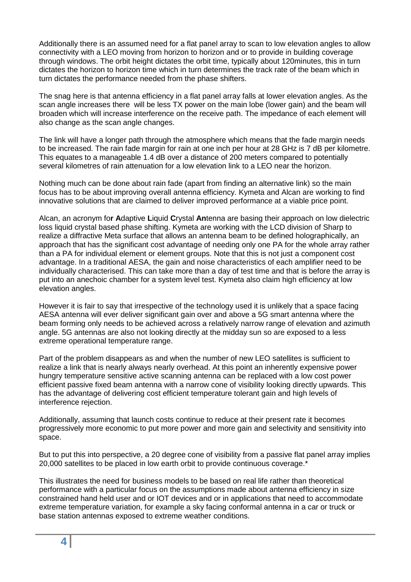Additionally there is an assumed need for a flat panel array to scan to low elevation angles to allow connectivity with a LEO moving from horizon to horizon and or to provide in building coverage through windows. The orbit height dictates the orbit time, typically about 120minutes, this in turn dictates the horizon to horizon time which in turn determines the track rate of the beam which in turn dictates the performance needed from the phase shifters.

The snag here is that antenna efficiency in a flat panel array falls at lower elevation angles. As the scan angle increases there will be less TX power on the main lobe (lower gain) and the beam will broaden which will increase interference on the receive path. The impedance of each element will also change as the scan angle changes.

The link will have a longer path through the atmosphere which means that the fade margin needs to be increased. The rain fade margin for rain at one inch per hour at 28 GHz is 7 dB per kilometre. This equates to a manageable 1.4 dB over a distance of 200 meters compared to potentially several kilometres of rain attenuation for a low elevation link to a LEO near the horizon.

Nothing much can be done about rain fade (apart from finding an alternative link) so the main focus has to be about improving overall antenna efficiency. Kymeta and Alcan are working to find innovative solutions that are claimed to deliver improved performance at a viable price point.

Alcan, an acronym fo**r A**daptive **L**iquid **C**rystal **An**tenna are basing their approach on low dielectric loss liquid crystal based phase shifting. Kymeta are working with the LCD division of Sharp to realize a diffractive Meta surface that allows an antenna beam to be defined holographically, an approach that has the significant cost advantage of needing only one PA for the whole array rather than a PA for individual element or element groups. Note that this is not just a component cost advantage. In a traditional AESA, the gain and noise characteristics of each amplifier need to be individually characterised. This can take more than a day of test time and that is before the array is put into an anechoic chamber for a system level test. Kymeta also claim high efficiency at low elevation angles.

However it is fair to say that irrespective of the technology used it is unlikely that a space facing AESA antenna will ever deliver significant gain over and above a 5G smart antenna where the beam forming only needs to be achieved across a relatively narrow range of elevation and azimuth angle. 5G antennas are also not looking directly at the midday sun so are exposed to a less extreme operational temperature range.

Part of the problem disappears as and when the number of new LEO satellites is sufficient to realize a link that is nearly always nearly overhead. At this point an inherently expensive power hungry temperature sensitive active scanning antenna can be replaced with a low cost power efficient passive fixed beam antenna with a narrow cone of visibility looking directly upwards. This has the advantage of delivering cost efficient temperature tolerant gain and high levels of interference rejection.

Additionally, assuming that launch costs continue to reduce at their present rate it becomes progressively more economic to put more power and more gain and selectivity and sensitivity into space.

But to put this into perspective, a 20 degree cone of visibility from a passive flat panel array implies 20,000 satellites to be placed in low earth orbit to provide continuous coverage.\*

This illustrates the need for business models to be based on real life rather than theoretical performance with a particular focus on the assumptions made about antenna efficiency in size constrained hand held user and or IOT devices and or in applications that need to accommodate extreme temperature variation, for example a sky facing conformal antenna in a car or truck or base station antennas exposed to extreme weather conditions.